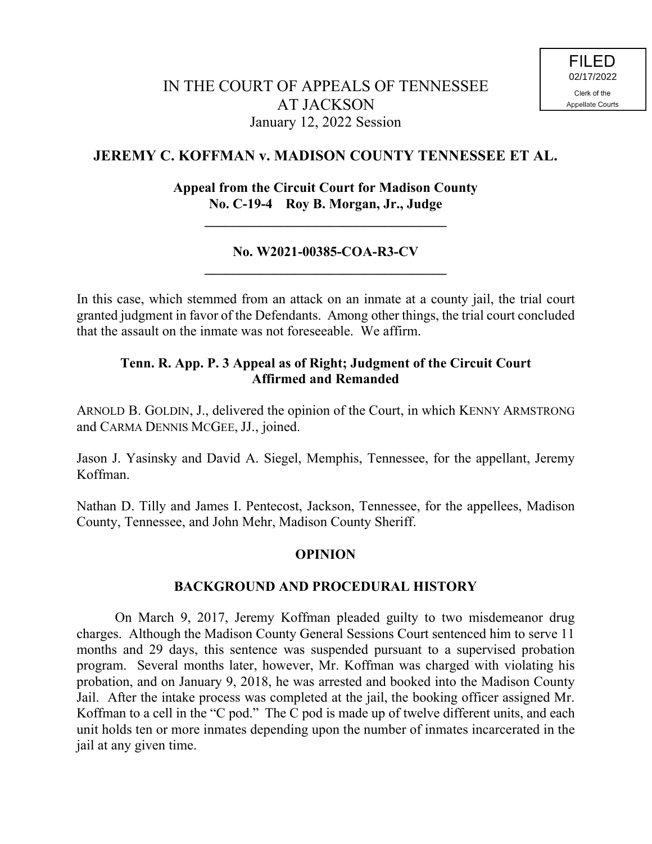# **JEREMY C. KOFFMAN v. MADISON COUNTY TENNESSEE ET AL.**

## **Appeal from the Circuit Court for Madison County No. C-19-4 Roy B. Morgan, Jr., Judge**

**\_\_\_\_\_\_\_\_\_\_\_\_\_\_\_\_\_\_\_\_\_\_\_\_\_\_\_\_\_\_\_\_\_\_\_**

## **No. W2021-00385-COA-R3-CV \_\_\_\_\_\_\_\_\_\_\_\_\_\_\_\_\_\_\_\_\_\_\_\_\_\_\_\_\_\_\_\_\_\_\_**

In this case, which stemmed from an attack on an inmate at a county jail, the trial court granted judgment in favor of the Defendants. Among other things, the trial court concluded that the assault on the inmate was not foreseeable. We affirm.

## **Tenn. R. App. P. 3 Appeal as of Right; Judgment of the Circuit Court Affirmed and Remanded**

ARNOLD B. GOLDIN, J., delivered the opinion of the Court, in which KENNY ARMSTRONG and CARMA DENNIS MCGEE, JJ., joined.

Jason J. Yasinsky and David A. Siegel, Memphis, Tennessee, for the appellant, Jeremy Koffman.

Nathan D. Tilly and James I. Pentecost, Jackson, Tennessee, for the appellees, Madison County, Tennessee, and John Mehr, Madison County Sheriff.

#### **OPINION**

#### **BACKGROUND AND PROCEDURAL HISTORY**

On March 9, 2017, Jeremy Koffman pleaded guilty to two misdemeanor drug charges. Although the Madison County General Sessions Court sentenced him to serve 11 months and 29 days, this sentence was suspended pursuant to a supervised probation program. Several months later, however, Mr. Koffman was charged with violating his probation, and on January 9, 2018, he was arrested and booked into the Madison County Jail. After the intake process was completed at the jail, the booking officer assigned Mr. Koffman to a cell in the "C pod." The C pod is made up of twelve different units, and each unit holds ten or more inmates depending upon the number of inmates incarcerated in the jail at any given time.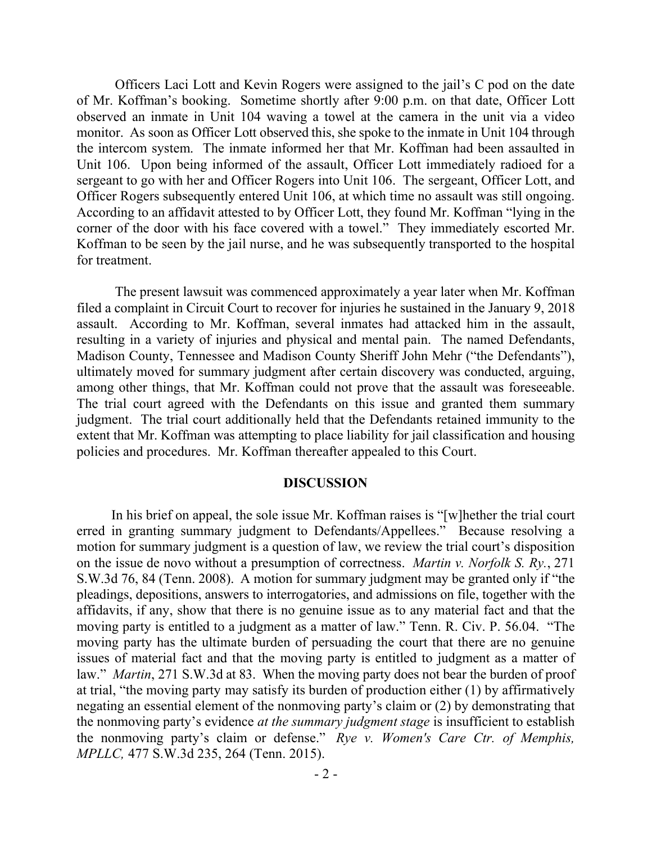Officers Laci Lott and Kevin Rogers were assigned to the jail's C pod on the date of Mr. Koffman's booking. Sometime shortly after 9:00 p.m. on that date, Officer Lott observed an inmate in Unit 104 waving a towel at the camera in the unit via a video monitor. As soon as Officer Lott observed this, she spoke to the inmate in Unit 104 through the intercom system. The inmate informed her that Mr. Koffman had been assaulted in Unit 106. Upon being informed of the assault, Officer Lott immediately radioed for a sergeant to go with her and Officer Rogers into Unit 106. The sergeant, Officer Lott, and Officer Rogers subsequently entered Unit 106, at which time no assault was still ongoing. According to an affidavit attested to by Officer Lott, they found Mr. Koffman "lying in the corner of the door with his face covered with a towel." They immediately escorted Mr. Koffman to be seen by the jail nurse, and he was subsequently transported to the hospital for treatment.

The present lawsuit was commenced approximately a year later when Mr. Koffman filed a complaint in Circuit Court to recover for injuries he sustained in the January 9, 2018 assault. According to Mr. Koffman, several inmates had attacked him in the assault, resulting in a variety of injuries and physical and mental pain. The named Defendants, Madison County, Tennessee and Madison County Sheriff John Mehr ("the Defendants"), ultimately moved for summary judgment after certain discovery was conducted, arguing, among other things, that Mr. Koffman could not prove that the assault was foreseeable. The trial court agreed with the Defendants on this issue and granted them summary judgment. The trial court additionally held that the Defendants retained immunity to the extent that Mr. Koffman was attempting to place liability for jail classification and housing policies and procedures. Mr. Koffman thereafter appealed to this Court.

#### **DISCUSSION**

 In his brief on appeal, the sole issue Mr. Koffman raises is "[w]hether the trial court erred in granting summary judgment to Defendants/Appellees." Because resolving a motion for summary judgment is a question of law, we review the trial court's disposition on the issue de novo without a presumption of correctness. *Martin v. Norfolk S. Ry.*, 271 S.W.3d 76, 84 (Tenn. 2008). A motion for summary judgment may be granted only if "the pleadings, depositions, answers to interrogatories, and admissions on file, together with the affidavits, if any, show that there is no genuine issue as to any material fact and that the moving party is entitled to a judgment as a matter of law." Tenn. R. Civ. P. 56.04. "The moving party has the ultimate burden of persuading the court that there are no genuine issues of material fact and that the moving party is entitled to judgment as a matter of law." *Martin*, 271 S.W.3d at 83. When the moving party does not bear the burden of proof at trial, "the moving party may satisfy its burden of production either (1) by affirmatively negating an essential element of the nonmoving party's claim or (2) by demonstrating that the nonmoving party's evidence *at the summary judgment stage* is insufficient to establish the nonmoving party's claim or defense." *Rye v. Women's Care Ctr. of Memphis, MPLLC,* 477 S.W.3d 235, 264 (Tenn. 2015).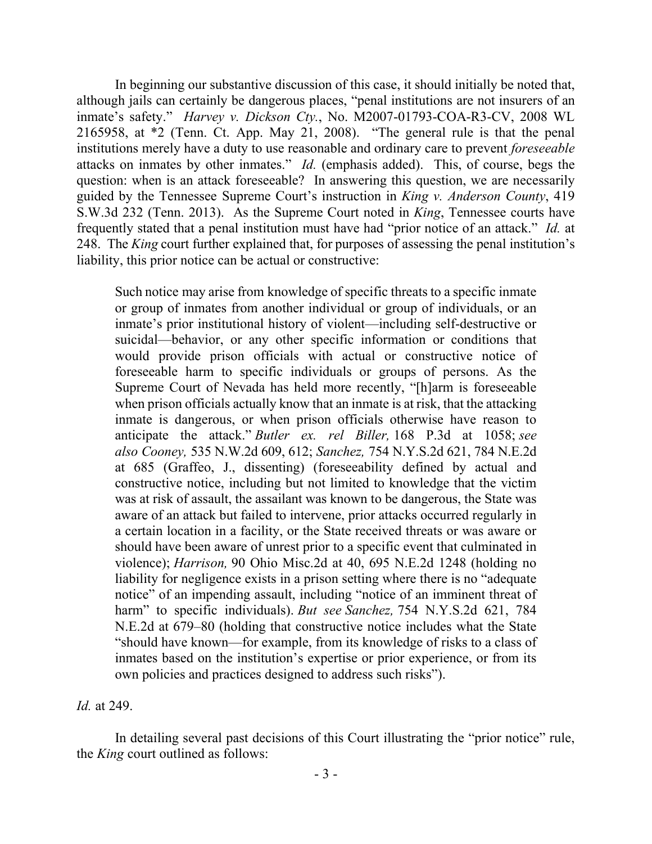In beginning our substantive discussion of this case, it should initially be noted that, although jails can certainly be dangerous places, "penal institutions are not insurers of an inmate's safety." *Harvey v. Dickson Cty.*, No. M2007-01793-COA-R3-CV, 2008 WL 2165958, at \*2 (Tenn. Ct. App. May 21, 2008). "The general rule is that the penal institutions merely have a duty to use reasonable and ordinary care to prevent *foreseeable* attacks on inmates by other inmates." *Id.* (emphasis added).This, of course, begs the question: when is an attack foreseeable? In answering this question, we are necessarily guided by the Tennessee Supreme Court's instruction in *King v. Anderson County*, 419 S.W.3d 232 (Tenn. 2013). As the Supreme Court noted in *King*, Tennessee courts have frequently stated that a penal institution must have had "prior notice of an attack." *Id.* at 248. The *King* court further explained that, for purposes of assessing the penal institution's liability, this prior notice can be actual or constructive:

Such notice may arise from knowledge of specific threats to a specific inmate or group of inmates from another individual or group of individuals, or an inmate's prior institutional history of violent—including self-destructive or suicidal—behavior, or any other specific information or conditions that would provide prison officials with actual or constructive notice of foreseeable harm to specific individuals or groups of persons. As the Supreme Court of Nevada has held more recently, "[h]arm is foreseeable when prison officials actually know that an inmate is at risk, that the attacking inmate is dangerous, or when prison officials otherwise have reason to anticipate the attack." *Butler ex. rel Biller,* 168 P.3d at 1058; *see also Cooney,* 535 N.W.2d 609, 612; *Sanchez,* 754 N.Y.S.2d 621, 784 N.E.2d at 685 (Graffeo, J., dissenting) (foreseeability defined by actual and constructive notice, including but not limited to knowledge that the victim was at risk of assault, the assailant was known to be dangerous, the State was aware of an attack but failed to intervene, prior attacks occurred regularly in a certain location in a facility, or the State received threats or was aware or should have been aware of unrest prior to a specific event that culminated in violence); *Harrison,* 90 Ohio Misc.2d at 40, 695 N.E.2d 1248 (holding no liability for negligence exists in a prison setting where there is no "adequate notice" of an impending assault, including "notice of an imminent threat of harm" to specific individuals). *But see Sanchez,* 754 N.Y.S.2d 621, 784 N.E.2d at 679–80 (holding that constructive notice includes what the State "should have known—for example, from its knowledge of risks to a class of inmates based on the institution's expertise or prior experience, or from its own policies and practices designed to address such risks").

*Id.* at 249.

In detailing several past decisions of this Court illustrating the "prior notice" rule, the *King* court outlined as follows: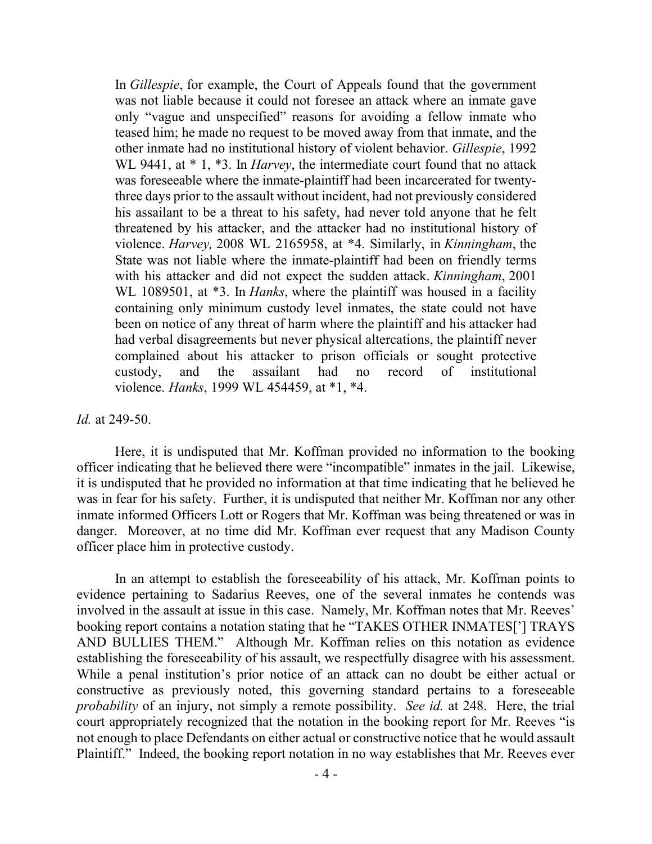In *Gillespie*, for example, the Court of Appeals found that the government was not liable because it could not foresee an attack where an inmate gave only "vague and unspecified" reasons for avoiding a fellow inmate who teased him; he made no request to be moved away from that inmate, and the other inmate had no institutional history of violent behavior. *Gillespie*, 1992 WL 9441, at \* 1, \*3. In *Harvey*, the intermediate court found that no attack was foreseeable where the inmate-plaintiff had been incarcerated for twentythree days prior to the assault without incident, had not previously considered his assailant to be a threat to his safety, had never told anyone that he felt threatened by his attacker, and the attacker had no institutional history of violence. *Harvey,* 2008 WL 2165958, at \*4. Similarly, in *Kinningham*, the State was not liable where the inmate-plaintiff had been on friendly terms with his attacker and did not expect the sudden attack. *Kinningham*, 2001 WL 1089501, at \*3. In *Hanks*, where the plaintiff was housed in a facility containing only minimum custody level inmates, the state could not have been on notice of any threat of harm where the plaintiff and his attacker had had verbal disagreements but never physical altercations, the plaintiff never complained about his attacker to prison officials or sought protective custody, and the assailant had no record of institutional violence. *Hanks*, 1999 WL 454459, at \*1, \*4.

#### *Id.* at 249-50.

Here, it is undisputed that Mr. Koffman provided no information to the booking officer indicating that he believed there were "incompatible" inmates in the jail. Likewise, it is undisputed that he provided no information at that time indicating that he believed he was in fear for his safety. Further, it is undisputed that neither Mr. Koffman nor any other inmate informed Officers Lott or Rogers that Mr. Koffman was being threatened or was in danger. Moreover, at no time did Mr. Koffman ever request that any Madison County officer place him in protective custody.

In an attempt to establish the foreseeability of his attack, Mr. Koffman points to evidence pertaining to Sadarius Reeves, one of the several inmates he contends was involved in the assault at issue in this case. Namely, Mr. Koffman notes that Mr. Reeves' booking report contains a notation stating that he "TAKES OTHER INMATES['] TRAYS AND BULLIES THEM." Although Mr. Koffman relies on this notation as evidence establishing the foreseeability of his assault, we respectfully disagree with his assessment. While a penal institution's prior notice of an attack can no doubt be either actual or constructive as previously noted, this governing standard pertains to a foreseeable *probability* of an injury, not simply a remote possibility. *See id.* at 248. Here, the trial court appropriately recognized that the notation in the booking report for Mr. Reeves "is not enough to place Defendants on either actual or constructive notice that he would assault Plaintiff." Indeed, the booking report notation in no way establishes that Mr. Reeves ever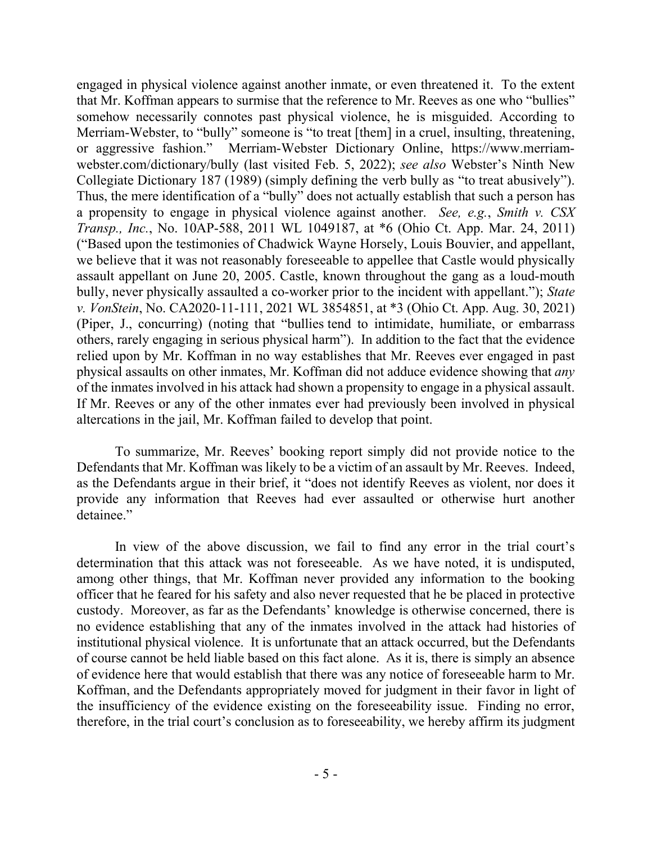engaged in physical violence against another inmate, or even threatened it. To the extent that Mr. Koffman appears to surmise that the reference to Mr. Reeves as one who "bullies" somehow necessarily connotes past physical violence, he is misguided. According to Merriam-Webster, to "bully" someone is "to treat [them] in a cruel, insulting, threatening, or aggressive fashion." Merriam-Webster Dictionary Online, https://www.merriamwebster.com/dictionary/bully (last visited Feb. 5, 2022); *see also* Webster's Ninth New Collegiate Dictionary 187 (1989) (simply defining the verb bully as "to treat abusively"). Thus, the mere identification of a "bully" does not actually establish that such a person has a propensity to engage in physical violence against another. *See, e.g.*, *Smith v. CSX Transp., Inc.*, No. 10AP-588, 2011 WL 1049187, at \*6 (Ohio Ct. App. Mar. 24, 2011) ("Based upon the testimonies of Chadwick Wayne Horsely, Louis Bouvier, and appellant, we believe that it was not reasonably foreseeable to appellee that Castle would physically assault appellant on June 20, 2005. Castle, known throughout the gang as a loud-mouth bully, never physically assaulted a co-worker prior to the incident with appellant."); *State v. VonStein*, No. CA2020-11-111, 2021 WL 3854851, at \*3 (Ohio Ct. App. Aug. 30, 2021) (Piper, J., concurring) (noting that "bullies tend to intimidate, humiliate, or embarrass others, rarely engaging in serious physical harm"). In addition to the fact that the evidence relied upon by Mr. Koffman in no way establishes that Mr. Reeves ever engaged in past physical assaults on other inmates, Mr. Koffman did not adduce evidence showing that *any* of the inmates involved in his attack had shown a propensity to engage in a physical assault. If Mr. Reeves or any of the other inmates ever had previously been involved in physical altercations in the jail, Mr. Koffman failed to develop that point.

To summarize, Mr. Reeves' booking report simply did not provide notice to the Defendants that Mr. Koffman was likely to be a victim of an assault by Mr. Reeves. Indeed, as the Defendants argue in their brief, it "does not identify Reeves as violent, nor does it provide any information that Reeves had ever assaulted or otherwise hurt another detainee."

In view of the above discussion, we fail to find any error in the trial court's determination that this attack was not foreseeable. As we have noted, it is undisputed, among other things, that Mr. Koffman never provided any information to the booking officer that he feared for his safety and also never requested that he be placed in protective custody. Moreover, as far as the Defendants' knowledge is otherwise concerned, there is no evidence establishing that any of the inmates involved in the attack had histories of institutional physical violence. It is unfortunate that an attack occurred, but the Defendants of course cannot be held liable based on this fact alone. As it is, there is simply an absence of evidence here that would establish that there was any notice of foreseeable harm to Mr. Koffman, and the Defendants appropriately moved for judgment in their favor in light of the insufficiency of the evidence existing on the foreseeability issue. Finding no error, therefore, in the trial court's conclusion as to foreseeability, we hereby affirm its judgment